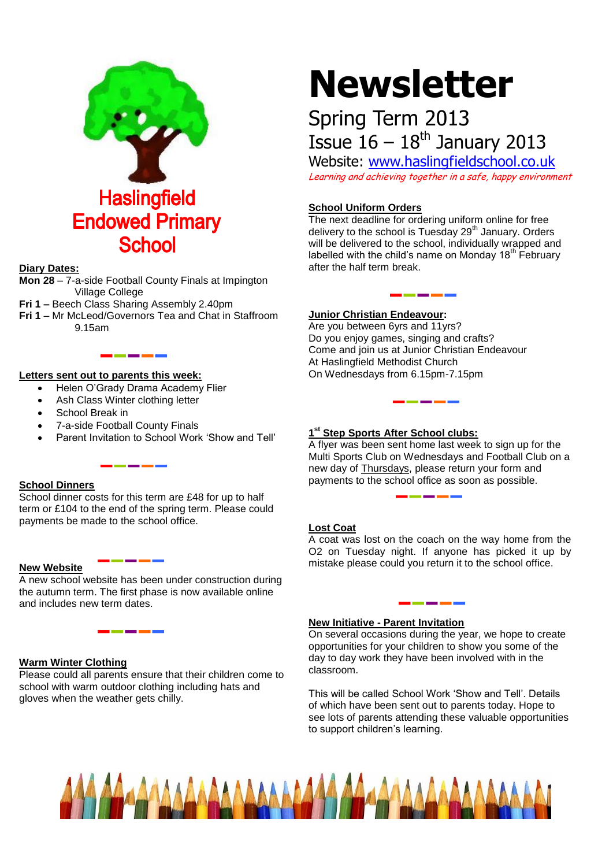

#### **Diary Dates:**

- **Mon 28** 7-a-side Football County Finals at Impington Village College
- **Fri 1 –** Beech Class Sharing Assembly 2.40pm
- **Fri 1**  Mr McLeod/Governors Tea and Chat in Staffroom 9.15am

#### **Letters sent out to parents this week:**

Helen O'Grady Drama Academy Flier

<u> 1980 - 1980 - 1980 - 1980 - 1980 - 1980 - 1980 - 1980 - 1980 - 1980 - 1980 - 1980 - 1980 - 1980 - 1980 - 1980 - 1980 - 1980 - 1980 - 1980 - 1980 - 1980 - 1980 - 1980 - 1980 - 1980 - 1980 - 1980 - 1980 - 1980 - 1980 - 198</u>

- Ash Class Winter clothing letter
- School Break in
- 7-a-side Football County Finals
- Parent Invitation to School Work 'Show and Tell'

#### **School Dinners**

School dinner costs for this term are £48 for up to half term or £104 to the end of the spring term. Please could payments be made to the school office.

#### **New Website**

A new school website has been under construction during the autumn term. The first phase is now available online and includes new term dates.

-------

### **Warm Winter Clothing**

Please could all parents ensure that their children come to school with warm outdoor clothing including hats and gloves when the weather gets chilly.

# **Newsletter**

# Spring Term 2013 Issue  $16 - 18$ <sup>th</sup> January 2013

Website: [www.haslingfieldschool.co.uk](http://www.haslingfieldschool.co.uk/) Learning and achieving together in a safe, happy environment

## **School Uniform Orders**

The next deadline for ordering uniform online for free delivery to the school is Tuesday 29<sup>th</sup> January. Orders will be delivered to the school, individually wrapped and labelled with the child's name on Monday  $18<sup>th</sup>$  February after the half term break.

#### **Junior Christian Endeavour:**

Are you between 6yrs and 11yrs? Do you enjoy games, singing and crafts? Come and join us at Junior Christian Endeavour At Haslingfield Methodist Church On Wednesdays from 6.15pm-7.15pm

#### **1 st Step Sports After School clubs:**

A flyer was been sent home last week to sign up for the Multi Sports Club on Wednesdays and Football Club on a new day of Thursdays, please return your form and payments to the school office as soon as possible.

#### **Lost Coat**

A coat was lost on the coach on the way home from the O2 on Tuesday night. If anyone has picked it up by mistake please could you return it to the school office.

#### **New Initiative - Parent Invitation**

On several occasions during the year, we hope to create opportunities for your children to show you some of the day to day work they have been involved with in the classroom.

This will be called School Work 'Show and Tell'. Details of which have been sent out to parents today. Hope to see lots of parents attending these valuable opportunities to support children's learning.